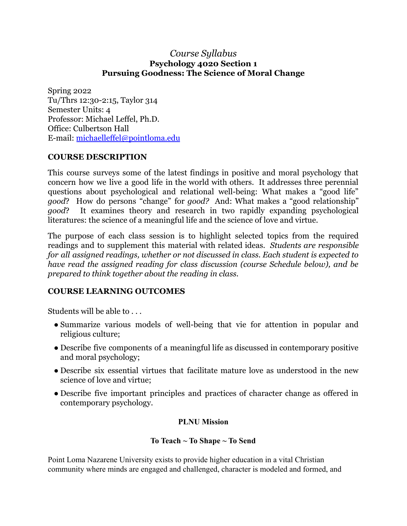### *Course Syllabus* **Psychology 4020 Section 1 Pursuing Goodness: The Science of Moral Change**

Spring 2022 Tu/Thrs 12:30-2:15, Taylor 314 Semester Units: 4 Professor: Michael Leffel, Ph.D. Office: Culbertson Hall E-mail: [michaelleffel@pointloma.edu](mailto:michaelleffel@pointloma.edu)

### **COURSE DESCRIPTION**

This course surveys some of the latest findings in positive and moral psychology that concern how we live a good life in the world with others. It addresses three perennial questions about psychological and relational well-being: What makes a "good life" *good*? How do persons "change" for *good?* And: What makes a "good relationship" *good*? It examines theory and research in two rapidly expanding psychological literatures: the science of a meaningful life and the science of love and virtue.

The purpose of each class session is to highlight selected topics from the required readings and to supplement this material with related ideas. *Students are responsible for all assigned readings, whether or not discussed in class. Each student is expected to have read the assigned reading for class discussion (course Schedule below), and be prepared to think together about the reading in class.*

### **COURSE LEARNING OUTCOMES**

Students will be able to . . .

- Summarize various models of well-being that vie for attention in popular and religious culture;
- Describe five components of a meaningful life as discussed in contemporary positive and moral psychology;
- Describe six essential virtues that facilitate mature love as understood in the new science of love and virtue;
- Describe five important principles and practices of character change as offered in contemporary psychology.

### **PLNU Mission**

### **To Teach ~ To Shape ~ To Send**

Point Loma Nazarene University exists to provide higher education in a vital Christian community where minds are engaged and challenged, character is modeled and formed, and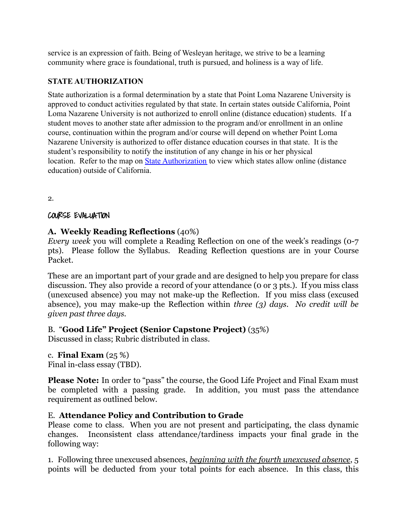service is an expression of faith. Being of Wesleyan heritage, we strive to be a learning community where grace is foundational, truth is pursued, and holiness is a way of life.

### **STATE AUTHORIZATION**

State authorization is a formal determination by a state that Point Loma Nazarene University is approved to conduct activities regulated by that state. In certain states outside California, Point Loma Nazarene University is not authorized to enroll online (distance education) students. If a student moves to another state after admission to the program and/or enrollment in an online course, continuation within the program and/or course will depend on whether Point Loma Nazarene University is authorized to offer distance education courses in that state. It is the student's responsibility to notify the institution of any change in his or her physical location. Refer to the map on [State Authorization](https://www.pointloma.edu/offices/office-institutional-effectiveness-research/disclosures) to view which states allow online (distance education) outside of California.

2.

COURSE EVALUATION

## **A. Weekly Reading Reflections** (40%)

*Every week* you will complete a Reading Reflection on one of the week's readings (0-7 pts). Please follow the Syllabus. Reading Reflection questions are in your Course Packet.

These are an important part of your grade and are designed to help you prepare for class discussion. They also provide a record of your attendance (0 or 3 pts.). If you miss class (unexcused absence) you may not make-up the Reflection. If you miss class (excused absence), you may make-up the Reflection within *three (3) days. No credit will be given past three days.*

## B. "**Good Life" Project (Senior Capstone Project)** (35%)

Discussed in class; Rubric distributed in class.

## c. **Final Exam** (25 %)

Final in-class essay (TBD).

**Please Note:** In order to "pass" the course, the Good Life Project and Final Exam must be completed with a passing grade. In addition, you must pass the attendance requirement as outlined below.

## E. **Attendance Policy and Contribution to Grade**

Please come to class. When you are not present and participating, the class dynamic changes. Inconsistent class attendance/tardiness impacts your final grade in the following way:

1. Following three unexcused absences, *beginning with the fourth unexcused absence*, 5 points will be deducted from your total points for each absence. In this class, this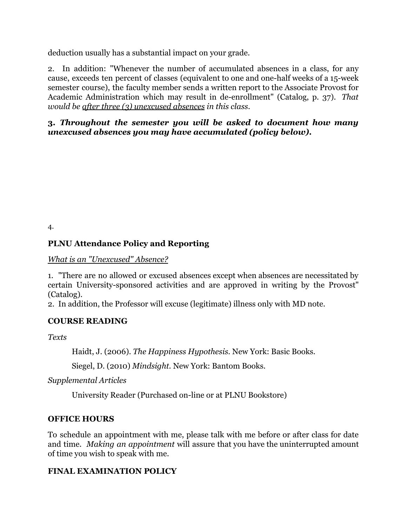deduction usually has a substantial impact on your grade.

2. In addition: "Whenever the number of accumulated absences in a class, for any cause, exceeds ten percent of classes (equivalent to one and one-half weeks of a 15-week semester course), the faculty member sends a written report to the Associate Provost for Academic Administration which may result in de-enrollment" (Catalog, p. 37). *That would be after three (3) unexcused absences in this class.*

### **3.** *Throughout the semester you will be asked to document how many unexcused absences you may have accumulated (policy below)***.**

4.

## **PLNU Attendance Policy and Reporting**

*What is an "Unexcused" Absence?*

1. "There are no allowed or excused absences except when absences are necessitated by certain University-sponsored activities and are approved in writing by the Provost" (Catalog).

2. In addition, the Professor will excuse (legitimate) illness only with MD note.

## **COURSE READING**

*Texts*

Haidt, J. (2006). *The Happiness Hypothesis.* New York: Basic Books.

Siegel, D. (2010) *Mindsight.* New York: Bantom Books.

*Supplemental Articles*

University Reader (Purchased on-line or at PLNU Bookstore)

## **OFFICE HOURS**

To schedule an appointment with me, please talk with me before or after class for date and time. *Making an appointment* will assure that you have the uninterrupted amount of time you wish to speak with me.

## **FINAL EXAMINATION POLICY**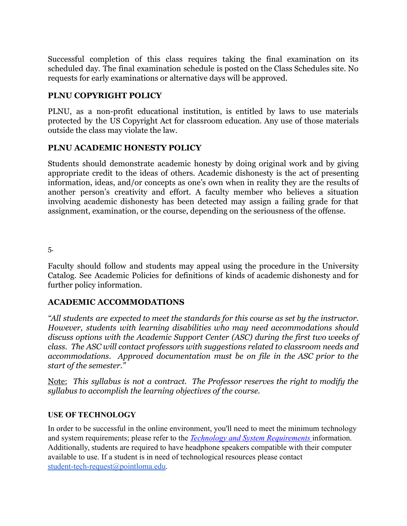Successful completion of this class requires taking the final examination on its scheduled day. The final examination schedule is posted on the Class Schedules site. No requests for early examinations or alternative days will be approved.

### **PLNU COPYRIGHT POLICY**

PLNU, as a non-profit educational institution, is entitled by laws to use materials protected by the US Copyright Act for classroom education. Any use of those materials outside the class may violate the law.

### **PLNU ACADEMIC HONESTY POLICY**

Students should demonstrate academic honesty by doing original work and by giving appropriate credit to the ideas of others. Academic dishonesty is the act of presenting information, ideas, and/or concepts as one's own when in reality they are the results of another person's creativity and effort. A faculty member who believes a situation involving academic dishonesty has been detected may assign a failing grade for that assignment, examination, or the course, depending on the seriousness of the offense.

5.

Faculty should follow and students may appeal using the procedure in the University Catalog. See Academic Policies for definitions of kinds of academic dishonesty and for further policy information.

### **ACADEMIC ACCOMMODATIONS**

*"All students are expected to meet the standards for this course as set by the instructor. However, students with learning disabilities who may need accommodations should discuss options with the Academic Support Center (ASC) during the first two weeks of class. The ASC will contact professors with suggestions related to classroom needs and accommodations. Approved documentation must be on file in the ASC prior to the start of the semester."*

Note: *This syllabus is not a contract. The Professor reserves the right to modify the syllabus to accomplish the learning objectives of the course.*

### **USE OF TECHNOLOGY**

In order to be successful in the online environment, you'll need to meet the minimum technology and system requirements; please refer to the *Technology [and System Requirements](https://help.pointloma.edu/TDClient/1808/Portal/KB/ArticleDet?ID=108349)* information. Additionally, students are required to have headphone speakers compatible with their computer available to use. If a student is in need of technological resources please contact [student-tech-request@pointloma.edu](mailto:student-tech-request@pointloma.edu).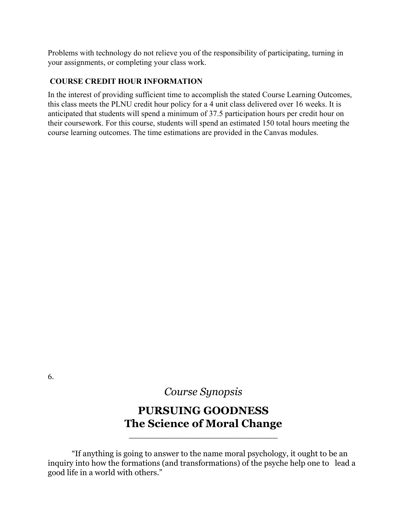Problems with technology do not relieve you of the responsibility of participating, turning in your assignments, or completing your class work.

### **COURSE CREDIT HOUR INFORMATION**

In the interest of providing sufficient time to accomplish the stated Course Learning Outcomes, this class meets the PLNU credit hour policy for a 4 unit class delivered over 16 weeks. It is anticipated that students will spend a minimum of 37.5 participation hours per credit hour on their coursework. For this course, students will spend an estimated 150 total hours meeting the course learning outcomes. The time estimations are provided in the Canvas modules.

6.

*Course Synopsis*

# **PURSUING GOODNESS The Science of Moral Change**

\_\_\_\_\_\_\_\_\_\_\_\_\_\_\_\_\_\_\_\_\_\_\_\_\_\_\_\_\_

"If anything is going to answer to the name moral psychology, it ought to be an inquiry into how the formations (and transformations) of the psyche help one to lead a good life in a world with others."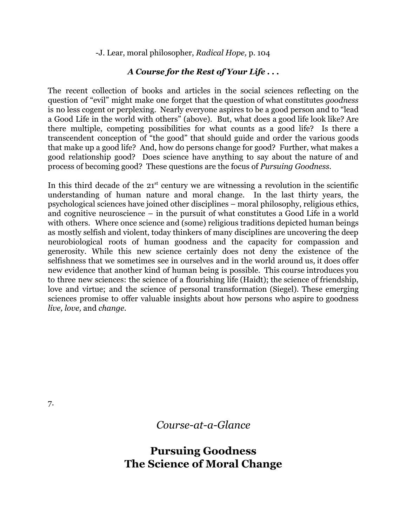-J. Lear, moral philosopher, *Radical Hope,* p. 104

## *A Course for the Rest of Your Life . . .*

The recent collection of books and articles in the social sciences reflecting on the question of "evil" might make one forget that the question of what constitutes *goodness* is no less cogent or perplexing. Nearly everyone aspires to be a good person and to "lead a Good Life in the world with others" (above). But, what does a good life look like? Are there multiple, competing possibilities for what counts as a good life? Is there a transcendent conception of "the good" that should guide and order the various goods that make up a good life? And, how do persons change for good? Further, what makes a good relationship good? Does science have anything to say about the nature of and process of becoming good? These questions are the focus of *Pursuing Goodness*.

In this third decade of the  $21<sup>st</sup>$  century we are witnessing a revolution in the scientific understanding of human nature and moral change. In the last thirty years, the psychological sciences have joined other disciplines – moral philosophy, religious ethics, and cognitive neuroscience – in the pursuit of what constitutes a Good Life in a world with others. Where once science and (some) religious traditions depicted human beings as mostly selfish and violent, today thinkers of many disciplines are uncovering the deep neurobiological roots of human goodness and the capacity for compassion and generosity. While this new science certainly does not deny the existence of the selfishness that we sometimes see in ourselves and in the world around us, it does offer new evidence that another kind of human being is possible. This course introduces you to three new sciences: the science of a flourishing life (Haidt); the science of friendship, love and virtue; and the science of personal transformation (Siegel). These emerging sciences promise to offer valuable insights about how persons who aspire to goodness *live, love,* and *change.*

7.

*Course-at-a-Glance*

# **Pursuing Goodness The Science of Moral Change**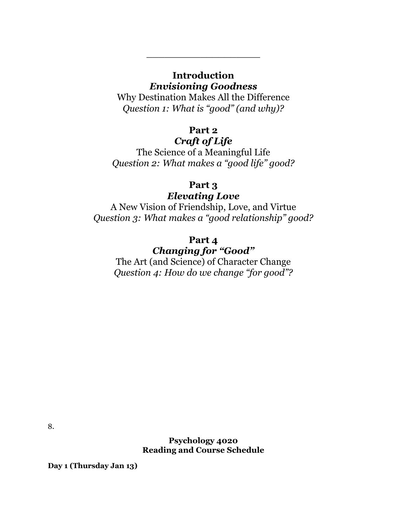### **Introduction** *Envisioning Goodness*

\_\_\_\_\_\_\_\_\_\_\_\_\_\_\_\_\_\_\_

Why Destination Makes All the Difference *Question 1: What is "good" (and why)?*

## **Part 2**

## *Craft of Life*

The Science of a Meaningful Life *Question 2: What makes a "good life" good?*

## **Part 3**

## *Elevating Love*

A New Vision of Friendship, Love, and Virtue *Question 3: What makes a "good relationship" good?*

## **Part 4** *Changing for "Good"*

The Art (and Science) of Character Change *Question 4: How do we change "for good"?*

8.

**Psychology 4020 Reading and Course Schedule**

**Day 1 (Thursday Jan 13)**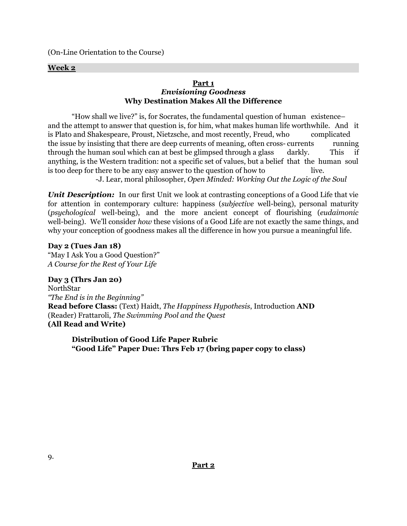(On-Line Orientation to the Course)

#### **Week 2**

#### **Part 1** *Envisioning Goodness* **Why Destination Makes All the Difference**

"How shall we live?" is, for Socrates, the fundamental question of human existence– and the attempt to answer that question is, for him, what makes human life worthwhile. And it is Plato and Shakespeare, Proust, Nietzsche, and most recently, Freud, who complicated the issue by insisting that there are deep currents of meaning, often cross- currents running through the human soul which can at best be glimpsed through a glass darkly. This if anything, is the Western tradition: not a specific set of values, but a belief that the human soul is too deep for there to be any easy answer to the question of how to live. -J. Lear, moral philosopher, *Open Minded: Working Out the Logic of the Soul*

*Unit Description:* In our first Unit we look at contrasting conceptions of a Good Life that vie for attention in contemporary culture: happiness (*subjective* well-being), personal maturity (*psychological* well-being), and the more ancient concept of flourishing (*eudaimonic* well-being). We'll consider *how* these visions of a Good Life are not exactly the same things, and why your conception of goodness makes all the difference in how you pursue a meaningful life.

**Day 2 (Tues Jan 18)** "May I Ask You a Good Question?" *A Course for the Rest of Your Life*

**Day 3 (Thrs Jan 20)** NorthStar *"The End is in the Beginning"* **Read before Class:** (Text) Haidt, *The Happiness Hypothesis*, Introduction **AND** (Reader) Frattaroli, *The Swimming Pool and the Quest* **(All Read and Write)**

**Distribution of Good Life Paper Rubric "Good Life" Paper Due: Thrs Feb 17 (bring paper copy to class)**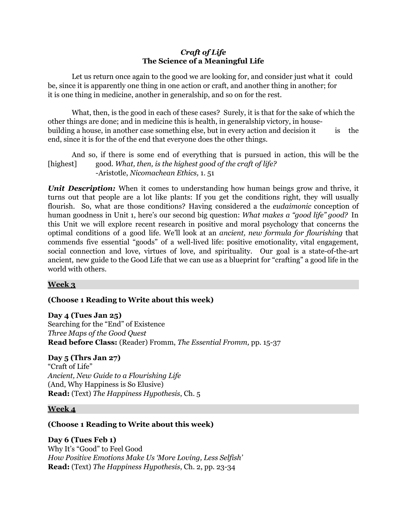#### *Craft of Life* **The Science of a Meaningful Life**

Let us return once again to the good we are looking for, and consider just what it could be, since it is apparently one thing in one action or craft, and another thing in another; for it is one thing in medicine, another in generalship, and so on for the rest.

What, then, is the good in each of these cases? Surely, it is that for the sake of which the other things are done; and in medicine this is health, in generalship victory, in housebuilding a house, in another case something else, but in every action and decision it is the end, since it is for the of the end that everyone does the other things.

And so, if there is some end of everything that is pursued in action, this will be the [highest] good. *What, then, is the highest good of the craft of life?* -Aristotle, *Nicomachean Ethics,* 1. 51

*Unit Description:* When it comes to understanding how human beings grow and thrive, it turns out that people are a lot like plants: If you get the conditions right, they will usually flourish. So, what are those conditions? Having considered a the *eudaimonic* conception of human goodness in Unit 1, here's our second big question: *What makes a "good life" good?* In this Unit we will explore recent research in positive and moral psychology that concerns the optimal conditions of a good life. We'll look at an *ancient, new formula for flourishing* that commends five essential "goods" of a well-lived life: positive emotionality, vital engagement, social connection and love, virtues of love, and spirituality. Our goal is a state-of-the-art ancient, new guide to the Good Life that we can use as a blueprint for "crafting" a good life in the world with others.

#### **Week 3**

#### **(Choose 1 Reading to Write about this week)**

#### **Day 4 (Tues Jan 25)**

Searching for the "End" of Existence *Three Maps of the Good Quest* **Read before Class:** (Reader) Fromm, *The Essential Fromm,* pp. 15-37

#### **Day 5 (Thrs Jan 27)**

"Craft of Life" *Ancient, New Guide to a Flourishing Life* (And, Why Happiness is So Elusive) **Read:** (Text) *The Happiness Hypothesis*, Ch. 5

#### **Week 4**

#### **(Choose 1 Reading to Write about this week)**

**Day 6 (Tues Feb 1)** Why It's "Good" to Feel Good *How Positive Emotions Make Us 'More Loving, Less Selfish'* **Read:** (Text) *The Happiness Hypothesis*, Ch. 2, pp. 23-34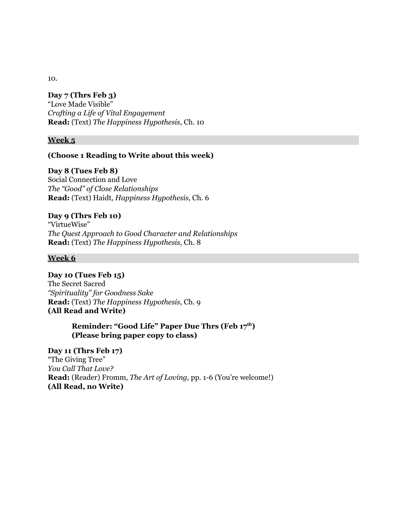## **Day 7 (Thrs Feb 3)**

"Love Made Visible" *Crafting a Life of Vital Engagement* **Read:** (Text) *The Happiness Hypothesis*, Ch. 10

#### **Week 5**

#### **(Choose 1 Reading to Write about this week)**

#### **Day 8 (Tues Feb 8)**

Social Connection and Love *The "Good" of Close Relationships* **Read:** (Text) Haidt, *Happiness Hypothesis*, Ch. 6

#### **Day 9 (Thrs Feb 10)**

"VirtueWise" *The Quest Approach to Good Character and Relationships* **Read:** (Text) *The Happiness Hypothesis*, Ch. 8

#### **Week 6**

**Day 10 (Tues Feb 15)** The Secret Sacred *"Spirituality" for Goodness Sake* **Read:** (Text) *The Happiness Hypothesis*, Ch. 9 **(All Read and Write)**

#### **Reminder: "Good Life" Paper Due Thrs (Feb 17 th) (Please bring paper copy to class)**

**Day 11 (Thrs Feb 17)** "The Giving Tree" *You Call That Love?* **Read:** (Reader) Fromm, *The Art of Loving,* pp. 1-6 (You're welcome!) **(All Read, no Write)**

10.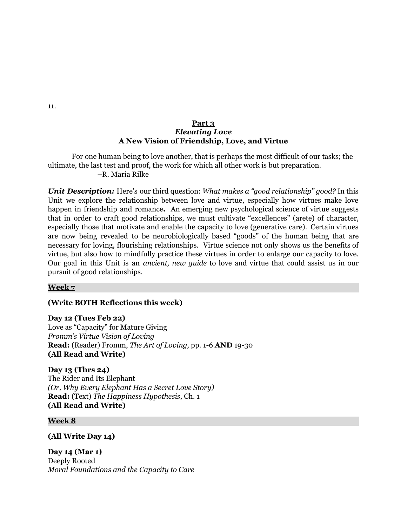#### **Part 3** *Elevating Love* **A New Vision of Friendship, Love, and Virtue**

For one human being to love another, that is perhaps the most difficult of our tasks; the ultimate, the last test and proof, the work for which all other work is but preparation. –R. Maria Rilke

*Unit Description:* Here's our third question: *What makes a "good relationship" good?* In this Unit we explore the relationship between love and virtue, especially how virtues make love happen in friendship and romance**.** An emerging new psychological science of virtue suggests that in order to craft good relationships, we must cultivate "excellences" (arete) of character, especially those that motivate and enable the capacity to love (generative care). Certain virtues are now being revealed to be neurobiologically based "goods" of the human being that are necessary for loving, flourishing relationships. Virtue science not only shows us the benefits of virtue, but also how to mindfully practice these virtues in order to enlarge our capacity to love. Our goal in this Unit is an *ancient, new guide* to love and virtue that could assist us in our pursuit of good relationships.

#### **Week 7**

#### **(Write BOTH Reflections this week)**

**Day 12 (Tues Feb 22)** Love as "Capacity" for Mature Giving *Fromm's Virtue Vision of Loving* **Read:** (Reader) Fromm, *The Art of Loving,* pp. 1-6 **AND** 19-30 **(All Read and Write)**

**Day 13 (Thrs 24)** The Rider and Its Elephant *(Or, Why Every Elephant Has a Secret Love Story)* **Read:** (Text) *The Happiness Hypothesis*, Ch. 1 **(All Read and Write)**

#### **Week 8**

**(All Write Day 14)**

**Day 14 (Mar 1)** Deeply Rooted *Moral Foundations and the Capacity to Care*

11.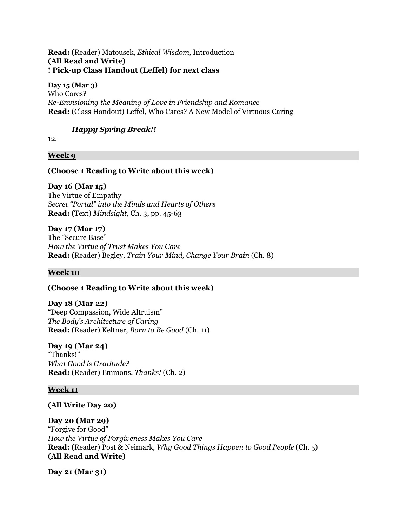#### **Read:** (Reader) Matousek, *Ethical Wisdom*, Introduction **(All Read and Write) ! Pick-up Class Handout (Leffel) for next class**

**Day 15 (Mar 3)** Who Cares? *Re-Envisioning the Meaning of Love in Friendship and Romance* **Read:** (Class Handout) Leffel, Who Cares? A New Model of Virtuous Caring

### *Happy Spring Break!!*

12.

#### **Week 9**

#### **(Choose 1 Reading to Write about this week)**

**Day 16 (Mar 15)** The Virtue of Empathy *Secret "Portal" into the Minds and Hearts of Others* **Read:** (Text) *Mindsight,* Ch. 3, pp. 45-63

**Day 17 (Mar 17)** The "Secure Base"

*How the Virtue of Trust Makes You Care* **Read:** (Reader) Begley, *Train Your Mind, Change Your Brain* (Ch. 8)

#### **Week 10**

#### **(Choose 1 Reading to Write about this week)**

**Day 18 (Mar 22)** "Deep Compassion, Wide Altruism" *The Body's Architecture of Caring* **Read:** (Reader) Keltner, *Born to Be Good* (Ch. 11)

#### **Day 19 (Mar 24)**

"Thanks!" *What Good is Gratitude?* **Read:** (Reader) Emmons, *Thanks!* (Ch. 2)

#### **Week 11**

#### **(All Write Day 20)**

#### **Day 20 (Mar 29)**

"Forgive for Good" *How the Virtue of Forgiveness Makes You Care* **Read:** (Reader) Post & Neimark, *Why Good Things Happen to Good People* (Ch. 5) **(All Read and Write)**

**Day 21 (Mar 31)**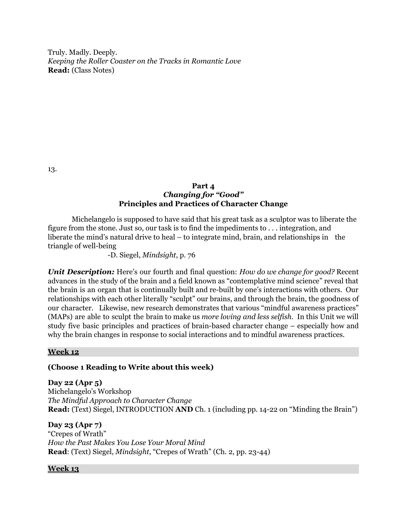Truly. Madly. Deeply. *Keeping the Roller Coaster on the Tracks in Romantic Love* **Read:** (Class Notes)

13.

#### **Part 4** *Changing for "Good"* **Principles and Practices of Character Change**

Michelangelo is supposed to have said that his great task as a sculptor was to liberate the figure from the stone. Just so, our task is to find the impediments to . . . integration, and liberate the mind's natural drive to heal – to integrate mind, brain, and relationships in the triangle of well-being

-D. Siegel, *Mindsight*, p. 76

*Unit Description:* Here's our fourth and final question: *How do we change for good?* Recent advances in the study of the brain and a field known as "contemplative mind science" reveal that the brain is an organ that is continually built and re-built by one's interactions with others. Our relationships with each other literally "sculpt" our brains, and through the brain, the goodness of our character. Likewise, new research demonstrates that various "mindful awareness practices" (MAPs) are able to sculpt the brain to make us *more loving and less selfish*. In this Unit we will study five basic principles and practices of brain-based character change – especially how and why the brain changes in response to social interactions and to mindful awareness practices.

#### **Week 12**

#### **(Choose 1 Reading to Write about this week)**

**Day 22 (Apr 5)** Michelangelo's Workshop *The Mindful Approach to Character Change* **Read:** (Text) Siegel, INTRODUCTION **AND** Ch. 1 (including pp. 14-22 on "Minding the Brain")

**Day 23 (Apr 7)** "Crepes of Wrath" *How the Past Makes You Lose Your Moral Mind* **Read**: (Text) Siegel, *Mindsight*, "Crepes of Wrath" (Ch. 2, pp. 23-44)

#### **Week 13**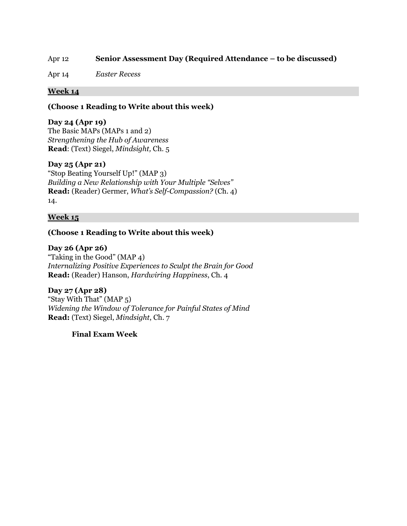#### Apr 12 **Senior Assessment Day (Required Attendance – to be discussed)**

Apr 14 *Easter Recess*

#### **Week 14**

**(Choose 1 Reading to Write about this week)**

#### **Day 24 (Apr 19)**

The Basic MAPs (MAPs 1 and 2) *Strengthening the Hub of Awareness* **Read**: (Text) Siegel, *Mindsight,* Ch. 5

#### **Day 25 (Apr 21)**

"Stop Beating Yourself Up!" (MAP 3) *Building a New Relationship with Your Multiple "Selves"* **Read:** (Reader) Germer, *What's Self-Compassion?* (Ch. 4) 14.

#### **Week 15**

#### **(Choose 1 Reading to Write about this week)**

**Day 26 (Apr 26)**

"Taking in the Good" (MAP 4) *Internalizing Positive Experiences to Sculpt the Brain for Good* **Read:** (Reader) Hanson, *Hardwiring Happiness*, Ch. 4

**Day 27 (Apr 28)** "Stay With That" (MAP 5) *Widening the Window of Tolerance for Painful States of Mind* **Read:** (Text) Siegel, *Mindsight*, Ch. 7

**Final Exam Week**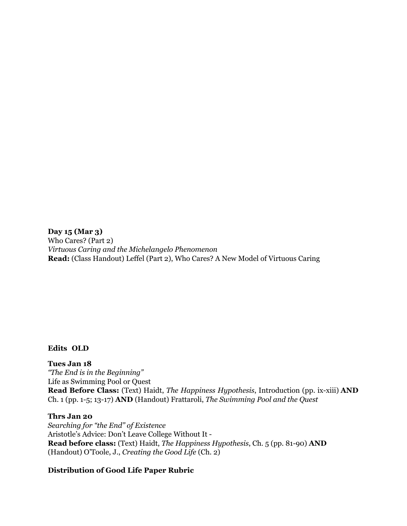**Day 15 (Mar 3)** Who Cares? (Part 2) *Virtuous Caring and the Michelangelo Phenomenon* **Read:** (Class Handout) Leffel (Part 2), Who Cares? A New Model of Virtuous Caring

#### **Edits OLD**

**Tues Jan 18** *"The End is in the Beginning"* Life as Swimming Pool or Quest **Read Before Class:** (Text) Haidt, *The Happiness Hypothesis*, Introduction (pp. ix-xiii) **AND** Ch. 1 (pp. 1-5; 13-17) **AND** (Handout) Frattaroli, *The Swimming Pool and the Quest*

#### **Thrs Jan 20**

*Searching for "the End" of Existence* Aristotle's Advice: Don't Leave College Without It - **Read before class:** (Text) Haidt, *The Happiness Hypothesis*, Ch. 5 (pp. 81-90) **AND** (Handout) O'Toole, J., *Creating the Good Life* (Ch. 2)

#### **Distribution of Good Life Paper Rubric**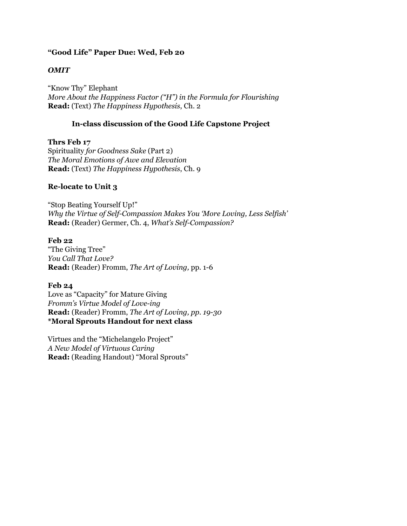#### **"Good Life" Paper Due: Wed, Feb 20**

#### *OMIT*

"Know Thy" Elephant *More About the Happiness Factor ("H") in the Formula for Flourishing* **Read:** (Text) *The Happiness Hypothesis*, Ch. 2

#### **In-class discussion of the Good Life Capstone Project**

**Thrs Feb 17** Spirituality *for Goodness Sake* (Part 2) *The Moral Emotions of Awe and Elevation* **Read:** (Text) *The Happiness Hypothesis*, Ch. 9

#### **Re-locate to Unit 3**

"Stop Beating Yourself Up!" *Why the Virtue of Self-Compassion Makes You 'More Loving, Less Selfish'* **Read:** (Reader) Germer, Ch. 4, *What's Self-Compassion?*

#### **Feb 22**

"The Giving Tree" *You Call That Love?* **Read:** (Reader) Fromm, *The Art of Loving,* pp. 1-6

#### **Feb 24**

Love as "Capacity" for Mature Giving *Fromm's Virtue Model of Love-ing* **Read:** (Reader) Fromm, *The Art of Loving, pp. 19-30* **\*Moral Sprouts Handout for next class**

Virtues and the "Michelangelo Project" *A New Model of Virtuous Caring* **Read:** (Reading Handout) "Moral Sprouts"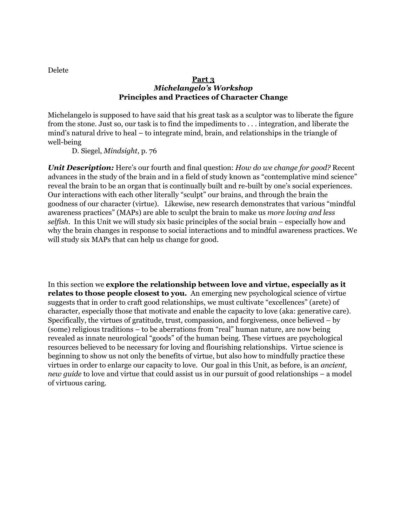Delete

#### **Part 3** *Michelangelo's Workshop* **Principles and Practices of Character Change**

Michelangelo is supposed to have said that his great task as a sculptor was to liberate the figure from the stone. Just so, our task is to find the impediments to . . . integration, and liberate the mind's natural drive to heal – to integrate mind, brain, and relationships in the triangle of well-being

D. Siegel, *Mindsight*, p. 76

*Unit Description:* Here's our fourth and final question: *How do we change for good?* Recent advances in the study of the brain and in a field of study known as "contemplative mind science" reveal the brain to be an organ that is continually built and re-built by one's social experiences. Our interactions with each other literally "sculpt" our brains, and through the brain the goodness of our character (virtue). Likewise, new research demonstrates that various "mindful awareness practices" (MAPs) are able to sculpt the brain to make us *more loving and less selfish*. In this Unit we will study six basic principles of the social brain – especially how and why the brain changes in response to social interactions and to mindful awareness practices. We will study six MAPs that can help us change for good.

In this section we **explore the relationship between love and virtue, especially as it relates to those people closest to you.** An emerging new psychological science of virtue suggests that in order to craft good relationships, we must cultivate "excellences" (arete) of character, especially those that motivate and enable the capacity to love (aka: generative care). Specifically, the virtues of gratitude, trust, compassion, and forgiveness, once believed – by (some) religious traditions – to be aberrations from "real" human nature, are now being revealed as innate neurological "goods" of the human being. These virtues are psychological resources believed to be necessary for loving and flourishing relationships. Virtue science is beginning to show us not only the benefits of virtue, but also how to mindfully practice these virtues in order to enlarge our capacity to love. Our goal in this Unit, as before, is an *ancient, new guide* to love and virtue that could assist us in our pursuit of good relationships – a model of virtuous caring.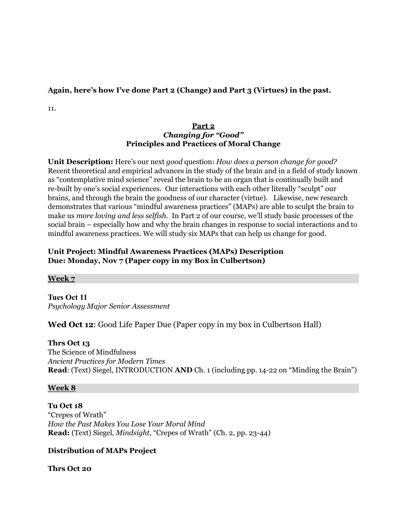#### **Again, here's how I've done Part 2 (Change) and Part 3 (Virtues) in the past.**

11.

#### **Part 2** *Changing for "Good"* **Principles and Practices of Moral Change**

**Unit Description:** Here's our next *good* question: *How does a person change for good?* Recent theoretical and empirical advances in the study of the brain and in a field of study known as "contemplative mind science" reveal the brain to be an organ that is continually built and re-built by one's social experiences. Our interactions with each other literally "sculpt" our brains, and through the brain the goodness of our character (virtue). Likewise, new research demonstrates that various "mindful awareness practices" (MAPs) are able to sculpt the brain to make us *more loving and less selfish*. In Part 2 of our course, we'll study basic processes of the social brain – especially how and why the brain changes in response to social interactions and to mindful awareness practices. We will study six MAPs that can help us change for good.

#### **Unit Project: Mindful Awareness Practices (MAPs) Description Due: Monday, Nov 7 (Paper copy in my Box in Culbertson)**

#### **Week 7**

**Tues Oct 11** *Psychology Major Senior Assessment*

### **Wed Oct 12**: Good Life Paper Due (Paper copy in my box in Culbertson Hall)

#### **Thrs Oct 13**

The Science of Mindfulness *Ancient Practices for Modern Times* **Read**: (Text) Siegel, INTRODUCTION **AND** Ch. 1 (including pp. 14-22 on "Minding the Brain")

#### **Week 8**

#### **Tu Oct 18**

"Crepes of Wrath" *How the Past Makes You Lose Your Moral Mind* **Read:** (Text) Siegel, *Mindsight*, "Crepes of Wrath" (Ch. 2, pp. 23-44)

#### **Distribution of MAPs Project**

**Thrs Oct 20**